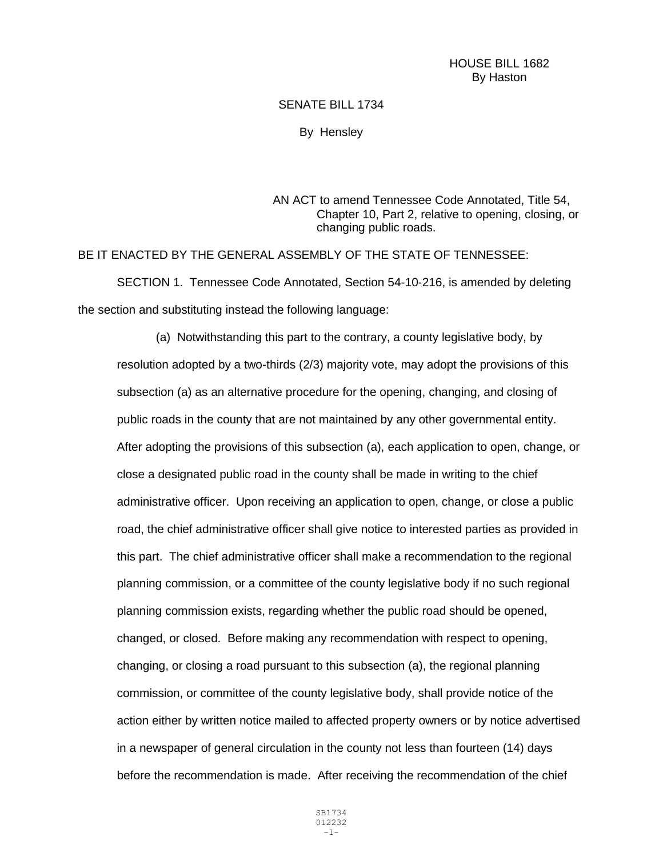## SENATE BILL 1734

By Hensley

AN ACT to amend Tennessee Code Annotated, Title 54, Chapter 10, Part 2, relative to opening, closing, or changing public roads.

BE IT ENACTED BY THE GENERAL ASSEMBLY OF THE STATE OF TENNESSEE: SECTION 1. Tennessee Code Annotated, Section 54-10-216, is amended by deleting the section and substituting instead the following language:

(a) Notwithstanding this part to the contrary, a county legislative body, by resolution adopted by a two-thirds (2/3) majority vote, may adopt the provisions of this subsection (a) as an alternative procedure for the opening, changing, and closing of public roads in the county that are not maintained by any other governmental entity. After adopting the provisions of this subsection (a), each application to open, change, or close a designated public road in the county shall be made in writing to the chief administrative officer. Upon receiving an application to open, change, or close a public road, the chief administrative officer shall give notice to interested parties as provided in this part. The chief administrative officer shall make a recommendation to the regional planning commission, or a committee of the county legislative body if no such regional planning commission exists, regarding whether the public road should be opened, changed, or closed. Before making any recommendation with respect to opening, changing, or closing a road pursuant to this subsection (a), the regional planning commission, or committee of the county legislative body, shall provide notice of the action either by written notice mailed to affected property owners or by notice advertised in a newspaper of general circulation in the county not less than fourteen (14) days before the recommendation is made. After receiving the recommendation of the chief

> SB1734 012232 -1